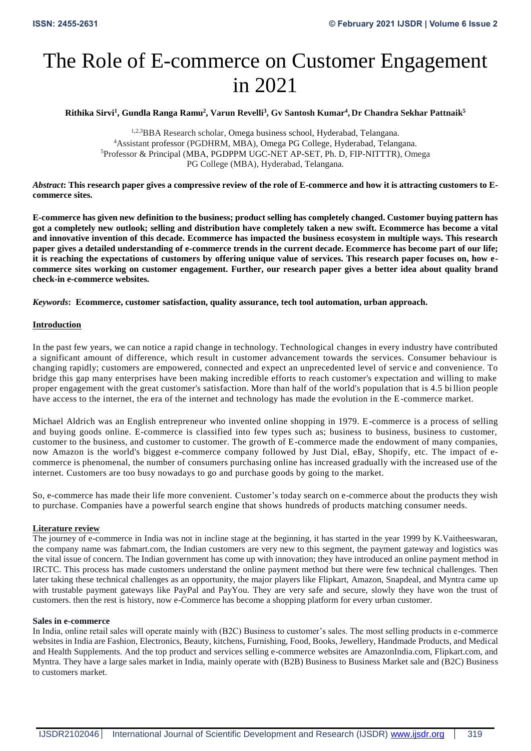# The Role of E-commerce on Customer Engagement in 2021

**Rithika Sirvi<sup>1</sup> , Gundla Ranga Ramu<sup>2</sup> , Varun Revelli<sup>3</sup> , Gv Santosh Kumar<sup>4</sup> , Dr Chandra Sekhar Pattnaik 5**

1,2,3BBA Research scholar, Omega business school, Hyderabad, Telangana. <sup>4</sup>Assistant professor (PGDHRM, MBA), Omega PG College, Hyderabad, Telangana. <sup>5</sup>Professor & Principal (MBA, PGDPPM UGC-NET AP-SET, Ph. D, FIP-NITTTR), Omega PG College (MBA), Hyderabad, Telangana.

*Abstract***: This research paper gives a compressive review of the role of E-commerce and how it is attracting customers to Ecommerce sites.**

**E-commerce has given new definition to the business; product selling has completely changed. Customer buying pattern has got a completely new outlook; selling and distribution have completely taken a new swift. Ecommerce has become a vital and innovative invention of this decade. Ecommerce has impacted the business ecosystem in multiple ways. This research paper gives a detailed understanding of e-commerce trends in the current decade. Ecommerce has become part of our life; it is reaching the expectations of customers by offering unique value of services. This research paper focuses on, how ecommerce sites working on customer engagement. Further, our research paper gives a better idea about quality brand check-in e-commerce websites.**

*Keywords***: Ecommerce, customer satisfaction, quality assurance, tech tool automation, urban approach.**

## **Introduction**

In the past few years, we can notice a rapid change in technology. Technological changes in every industry have contributed a significant amount of difference, which result in customer advancement towards the services. Consumer behaviour is changing rapidly; customers are empowered, connected and expect an unprecedented level of servic e and convenience. To bridge this gap many enterprises have been making incredible efforts to reach customer's expectation and willing to make proper engagement with the great customer's satisfaction. More than half of the world's population that is 4.5 bi llion people have access to the internet, the era of the internet and technology has made the evolution in the E-commerce market.

Michael Aldrich was an English entrepreneur who invented online shopping in 1979. E-commerce is a process of selling and buying goods online. E-commerce is classified into few types such as; business to business, business to customer, customer to the business, and customer to customer. The growth of E-commerce made the endowment of many companies, now Amazon is the world's biggest e-commerce company followed by Just Dial, eBay, Shopify, etc. The impact of ecommerce is phenomenal, the number of consumers purchasing online has increased gradually with the increased use of the internet. Customers are too busy nowadays to go and purchase goods by going to the market.

So, e-commerce has made their life more convenient. Customer's today search on e-commerce about the products they wish to purchase. Companies have a powerful search engine that shows hundreds of products matching consumer needs.

## **Literature review**

The journey of e-commerce in India was not in incline stage at the beginning, it has started in the year 1999 by K.Vaitheeswaran, the company name was fabmart.com, the Indian customers are very new to this segment, the payment gateway and logistics was the vital issue of concern. The Indian government has come up with innovation; they have introduced an online payment method in IRCTC. This process has made customers understand the online payment method but there were few technical challenges. Then later taking these technical challenges as an opportunity, the major players like Flipkart, Amazon, Snapdeal, and Myntra came up with trustable payment gateways like PayPal and PayYou. They are very safe and secure, slowly they have won the trust of customers. then the rest is history, now e-Commerce has become a shopping platform for every urban customer.

## **Sales in e-commerce**

In India, online retail sales will operate mainly with (B2C) Business to customer's sales. The most selling products in e-commerce websites in India are Fashion, Electronics, Beauty, kitchens, Furnishing, Food, Books, Jewellery, Handmade Products, and Medical and Health Supplements. And the top product and services selling e-commerce websites are AmazonIndia.com, Flipkart.com, and Myntra. They have a large sales market in India, mainly operate with (B2B) Business to Business Market sale and (B2C) Business to customers market.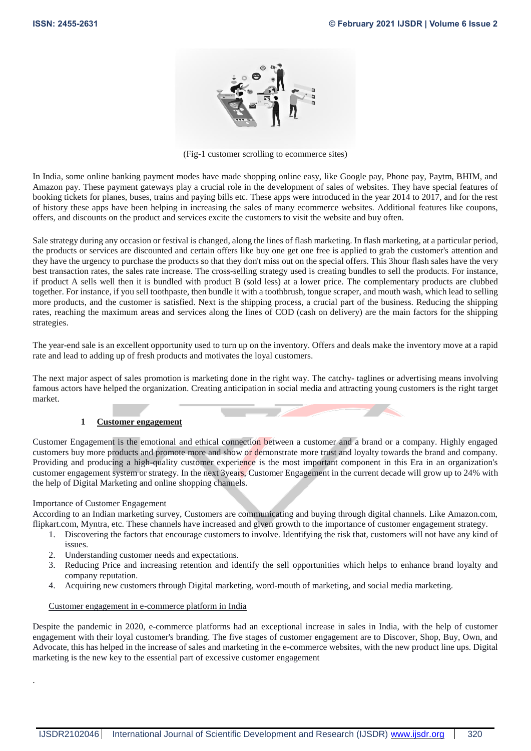

(Fig-1 customer scrolling to ecommerce sites)

In India, some online banking payment modes have made shopping online easy, like Google pay, Phone pay, Paytm, BHIM, and Amazon pay. These payment gateways play a crucial role in the development of sales of websites. They have special features of booking tickets for planes, buses, trains and paying bills etc. These apps were introduced in the year 2014 to 2017, and for the rest of history these apps have been helping in increasing the sales of many ecommerce websites. Additional features like coupons, offers, and discounts on the product and services excite the customers to visit the website and buy often.

Sale strategy during any occasion or festival is changed, along the lines of flash marketing. In flash marketing, at a particular period, the products or services are discounted and certain offers like buy one get one free is applied to grab the customer's attention and they have the urgency to purchase the products so that they don't miss out on the special offers. This 3hour flash sales have the very best transaction rates, the sales rate increase. The cross-selling strategy used is creating bundles to sell the products. For instance, if product A sells well then it is bundled with product B (sold less) at a lower price. The complementary products are clubbed together. For instance, if you sell toothpaste, then bundle it with a toothbrush, tongue scraper, and mouth wash, which lead to selling more products, and the customer is satisfied. Next is the shipping process, a crucial part of the business. Reducing the shipping rates, reaching the maximum areas and services along the lines of COD (cash on delivery) are the main factors for the shipping strategies.

The year-end sale is an excellent opportunity used to turn up on the inventory. Offers and deals make the inventory move at a rapid rate and lead to adding up of fresh products and motivates the loyal customers.

The next major aspect of sales promotion is marketing done in the right way. The catchy- taglines or advertising means involving famous actors have helped the organization. Creating anticipation in social media and attracting young customers is the right target market.

## **1 Customer engagement**

Customer Engagement is the emotional and ethical connection between a customer and a brand or a company. Highly engaged customers buy more products and promote more and show or demonstrate more trust and loyalty towards the brand and company. Providing and producing a high-quality customer experience is the most important component in this Era in an organization's customer engagement system or strategy. In the next 3years, Customer Engagement in the current decade will grow up to 24% with the help of Digital Marketing and online shopping channels.

## Importance of Customer Engagement

.

According to an Indian marketing survey, Customers are communicating and buying through digital channels. Like Amazon.com, flipkart.com, Myntra, etc. These channels have increased and given growth to the importance of customer engagement strategy.

- 1. Discovering the factors that encourage customers to involve. Identifying the risk that, customers will not have any kind of issues.
- 2. Understanding customer needs and expectations.
- 3. Reducing Price and increasing retention and identify the sell opportunities which helps to enhance brand loyalty and company reputation.
- 4. Acquiring new customers through Digital marketing, word-mouth of marketing, and social media marketing.

## Customer engagement in e-commerce platform in India

Despite the pandemic in 2020, e-commerce platforms had an exceptional increase in sales in India, with the help of customer engagement with their loyal customer's branding. The five stages of customer engagement are to Discover, Shop, Buy, Own, and Advocate, this has helped in the increase of sales and marketing in the e-commerce websites, with the new product line ups. Digital marketing is the new key to the essential part of excessive customer engagement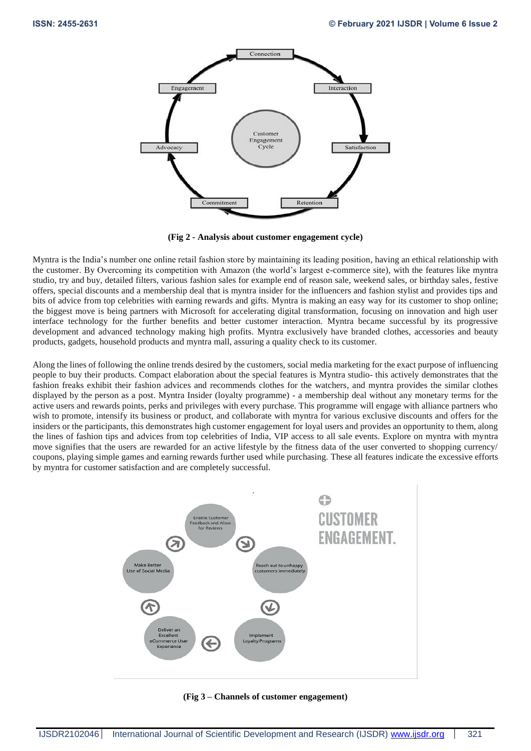

**(Fig 2 - Analysis about customer engagement cycle)**

Myntra is the India's number one online retail fashion store by maintaining its leading position, having an ethical relationship with the customer. By Overcoming its competition with Amazon (the world's largest e-commerce site), with the features like myntra studio, try and buy, detailed filters, various fashion sales for example end of reason sale, weekend sales, or birthday sales, festive offers, special discounts and a membership deal that is myntra insider for the influencers and fashion stylist and provides tips and bits of advice from top celebrities with earning rewards and gifts. Myntra is making an easy way for its customer to shop online; the biggest move is being partners with Microsoft for accelerating digital transformation, focusing on innovation and high user interface technology for the further benefits and better customer interaction. Myntra became successful by its progressive development and advanced technology making high profits. Myntra exclusively have branded clothes, accessories and beauty products, gadgets, household products and myntra mall, assuring a quality check to its customer.

Along the lines of following the online trends desired by the customers, social media marketing for the exact purpose of influencing people to buy their products. Compact elaboration about the special features is Myntra studio- this actively demonstrates that the fashion freaks exhibit their fashion advices and recommends clothes for the watchers, and myntra provides the similar clothes displayed by the person as a post. Myntra Insider (loyalty programme) - a membership deal without any monetary terms for the active users and rewards points, perks and privileges with every purchase. This programme will engage with alliance partners who wish to promote, intensify its business or product, and collaborate with myntra for various exclusive discounts and offers for the insiders or the participants, this demonstrates high customer engagement for loyal users and provides an opportunity to them, along the lines of fashion tips and advices from top celebrities of India, VIP access to all sale events. Explore on myntra with myntra move signifies that the users are rewarded for an active lifestyle by the fitness data of the user converted to shopping currency/ coupons, playing simple games and earning rewards further used while purchasing. These all features indicate the excessive efforts by myntra for customer satisfaction and are completely successful.



**(Fig 3 – Channels of customer engagement)**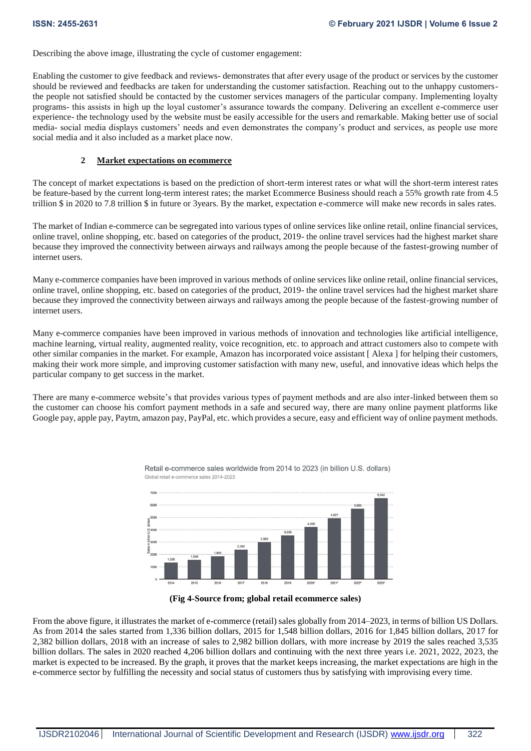Describing the above image, illustrating the cycle of customer engagement:

Enabling the customer to give feedback and reviews- demonstrates that after every usage of the product or services by the customer should be reviewed and feedbacks are taken for understanding the customer satisfaction. Reaching out to the unhappy customersthe people not satisfied should be contacted by the customer services managers of the particular company. Implementing loyalty programs- this assists in high up the loyal customer's assurance towards the company. Delivering an excellent e-commerce user experience- the technology used by the website must be easily accessible for the users and remarkable. Making better use of social media- social media displays customers' needs and even demonstrates the company's product and services, as people use more social media and it also included as a market place now.

# **2 Market expectations on ecommerce**

The concept of market expectations is based on the prediction of short-term interest rates or what will the short-term interest rates be feature-based by the current long-term interest rates; the market Ecommerce Business should reach a 55% growth rate from 4.5 trillion \$ in 2020 to 7.8 trillion \$ in future or 3years. By the market, expectation e-commerce will make new records in sales rates.

The market of Indian e-commerce can be segregated into various types of online services like online retail, online financial services, online travel, online shopping, etc. based on categories of the product, 2019- the online travel services had the highest market share because they improved the connectivity between airways and railways among the people because of the fastest-growing number of internet users.

Many e-commerce companies have been improved in various methods of online services like online retail, online financial services, online travel, online shopping, etc. based on categories of the product, 2019- the online travel services had the highest market share because they improved the connectivity between airways and railways among the people because of the fastest-growing number of internet users.

Many e-commerce companies have been improved in various methods of innovation and technologies like artificial intelligence, machine learning, virtual reality, augmented reality, voice recognition, etc. to approach and attract customers also to compete with other similar companies in the market. For example, Amazon has incorporated voice assistant [ Alexa ] for helping their customers, making their work more simple, and improving customer satisfaction with many new, useful, and innovative ideas which helps the particular company to get success in the market.

There are many e-commerce website's that provides various types of payment methods and are also inter-linked between them so the customer can choose his comfort payment methods in a safe and secured way, there are many online payment platforms like Google pay, apple pay, Paytm, amazon pay, PayPal, etc. which provides a secure, easy and efficient way of online payment methods.







From the above figure, it illustrates the market of e-commerce (retail) sales globally from 2014–2023, in terms of billion US Dollars. As from 2014 the sales started from 1,336 billion dollars, 2015 for 1,548 billion dollars, 2016 for 1,845 billion dollars, 2017 for 2,382 billion dollars, 2018 with an increase of sales to 2,982 billion dollars, with more increase by 2019 the sales reached 3,535 billion dollars. The sales in 2020 reached 4,206 billion dollars and continuing with the next three years i.e. 2021, 2022, 2023, the market is expected to be increased. By the graph, it proves that the market keeps increasing, the market expectations are high in the e-commerce sector by fulfilling the necessity and social status of customers thus by satisfying with improvising every time.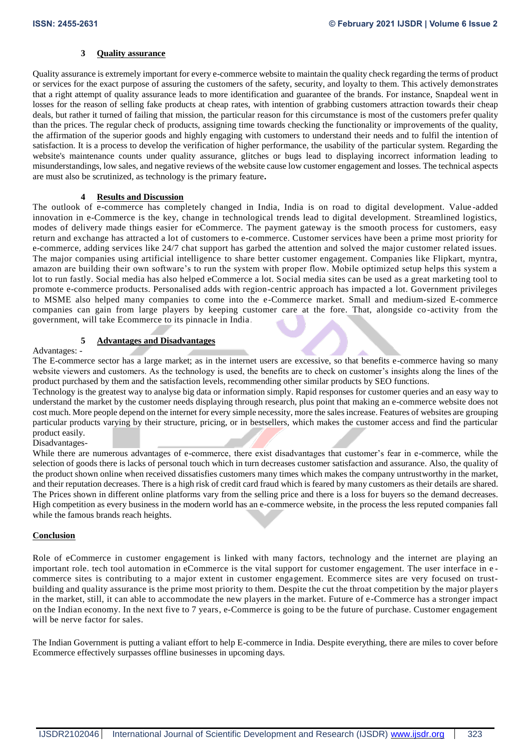## **3 Quality assurance**

Quality assurance is extremely important for every e-commerce website to maintain the quality check regarding the terms of product or services for the exact purpose of assuring the customers of the safety, security, and loyalty to them. This actively demonstrates that a right attempt of quality assurance leads to more identification and guarantee of the brands. For instance, Snapdeal went in losses for the reason of selling fake products at cheap rates, with intention of grabbing customers attraction towards their cheap deals, but rather it turned of failing that mission, the particular reason for this circumstance is most of the customers prefer quality than the prices. The regular check of products, assigning time towards checking the functionality or improvements of the quality, the affirmation of the superior goods and highly engaging with customers to understand their needs and to fulfil the intention of satisfaction. It is a process to develop the verification of higher performance, the usability of the particular system. Regarding the website's maintenance counts under quality assurance, glitches or bugs lead to displaying incorrect information leading to misunderstandings, low sales, and negative reviews of the website cause low customer engagement and losses. The technical aspects are must also be scrutinized, as technology is the primary feature**.**

## **4 Results and Discussion**

The outlook of e-commerce has completely changed in India, India is on road to digital development. Value -added innovation in e-Commerce is the key, change in technological trends lead to digital development. Streamlined logistics, modes of delivery made things easier for eCommerce. The payment gateway is the smooth process for customers, easy return and exchange has attracted a lot of customers to e-commerce. Customer services have been a prime most priority for e-commerce, adding services like 24/7 chat support has garbed the attention and solved the major customer related issues. The major companies using artificial intelligence to share better customer engagement. Companies like Flipkart, myntra, amazon are building their own software's to run the system with proper flow. Mobile optimized setup helps this system a lot to run fastly. Social media has also helped eCommerce a lot. Social media sites can be used as a great marketing tool to promote e-commerce products. Personalised adds with region-centric approach has impacted a lot. Government privileges to MSME also helped many companies to come into the e-Commerce market. Small and medium-sized E-commerce companies can gain from large players by keeping customer care at the fore. That, alongside co -activity from the government, will take Ecommerce to its pinnacle in India.

## **5 Advantages and Disadvantages**

Advantages: -

The E-commerce sector has a large market; as in the internet users are excessive, so that benefits e-commerce having so many website viewers and customers. As the technology is used, the benefits are to check on customer's insights along the lines of the product purchased by them and the satisfaction levels, recommending other similar products by SEO functions.

Technology is the greatest way to analyse big data or information simply. Rapid responses for customer queries and an easy way to understand the market by the customer needs displaying through research, plus point that making an e-commerce website does not cost much. More people depend on the internet for every simple necessity, more the sales increase. Features of websites are grouping particular products varying by their structure, pricing, or in bestsellers, which makes the customer access and find the particular product easily.

## Disadvantages-

While there are numerous advantages of e-commerce, there exist disadvantages that customer's fear in e-commerce, while the selection of goods there is lacks of personal touch which in turn decreases customer satisfaction and assurance. Also, the quality of the product shown online when received dissatisfies customers many times which makes the company untrustworthy in the market, and their reputation decreases. There is a high risk of credit card fraud which is feared by many customers as their details are shared. The Prices shown in different online platforms vary from the selling price and there is a loss for buyers so the demand decreases. High competition as every business in the modern world has an e-commerce website, in the process the less reputed companies fall while the famous brands reach heights.

## **Conclusion**

Role of eCommerce in customer engagement is linked with many factors, technology and the internet are playing an important role. tech tool automation in eCommerce is the vital support for customer engagement. The user interface in e commerce sites is contributing to a major extent in customer engagement. Ecommerce sites are very focused on trustbuilding and quality assurance is the prime most priority to them. Despite the cut the throat competition by the major players in the market, still, it can able to accommodate the new players in the market. Future of e-Commerce has a stronger impact on the Indian economy. In the next five to 7 years, e-Commerce is going to be the future of purchase. Customer engagement will be nerve factor for sales.

The Indian Government is putting a valiant effort to help E-commerce in India. Despite everything, there are miles to cover before Ecommerce effectively surpasses offline businesses in upcoming days.